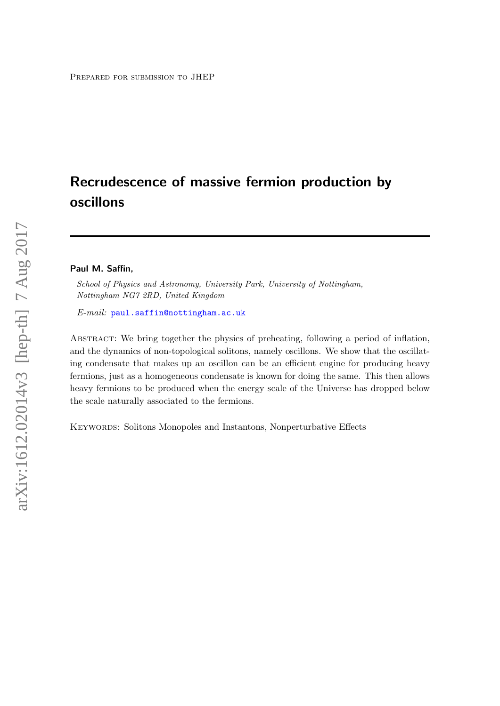# Recrudescence of massive fermion production by oscillons

#### Paul M. Saffin,

School of Physics and Astronomy, University Park, University of Nottingham, Nottingham NG7 2RD, United Kingdom

E-mail: [paul.saffin@nottingham.ac.uk](mailto:paul.saffin@nottingham.ac.uk)

ABSTRACT: We bring together the physics of preheating, following a period of inflation, and the dynamics of non-topological solitons, namely oscillons. We show that the oscillating condensate that makes up an oscillon can be an efficient engine for producing heavy fermions, just as a homogeneous condensate is known for doing the same. This then allows heavy fermions to be produced when the energy scale of the Universe has dropped below the scale naturally associated to the fermions.

KEYWORDS: Solitons Monopoles and Instantons, Nonperturbative Effects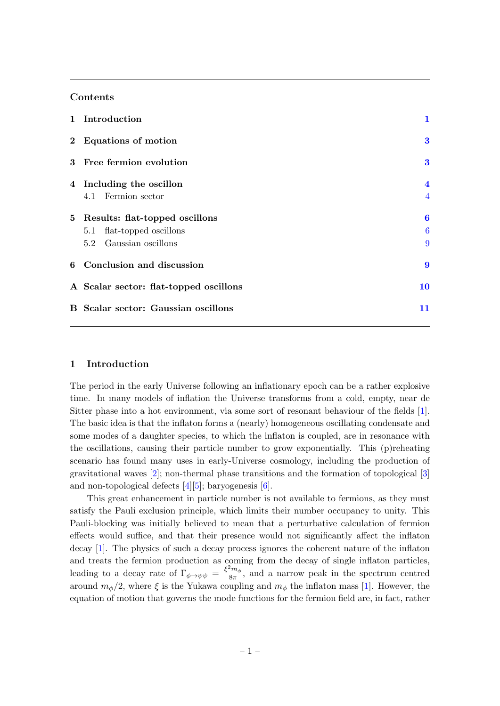# Contents

| 1 Introduction                             | 1                       |
|--------------------------------------------|-------------------------|
| 2 Equations of motion                      | $\bf{3}$                |
| 3 Free fermion evolution                   | $\bf{3}$                |
| 4 Including the oscillon                   | $\overline{\mathbf{4}}$ |
| 4.1 Fermion sector                         | $\overline{4}$          |
| 5 Results: flat-topped oscillons           | 6                       |
| 5.1 flat-topped oscillons                  | $\boldsymbol{6}$        |
| 5.2 Gaussian oscillons                     | 9                       |
| 6 Conclusion and discussion                | $\boldsymbol{9}$        |
| A Scalar sector: flat-topped oscillons     | <b>10</b>               |
| <b>B</b> Scalar sector: Gaussian oscillons | 11                      |

# <span id="page-1-0"></span>1 Introduction

The period in the early Universe following an inflationary epoch can be a rather explosive time. In many models of inflation the Universe transforms from a cold, empty, near de Sitter phase into a hot environment, via some sort of resonant behaviour of the fields [\[1\]](#page-11-1). The basic idea is that the inflaton forms a (nearly) homogeneous oscillating condensate and some modes of a daughter species, to which the inflaton is coupled, are in resonance with the oscillations, causing their particle number to grow exponentially. This (p)reheating scenario has found many uses in early-Universe cosmology, including the production of gravitational waves [\[2\]](#page-11-2); non-thermal phase transitions and the formation of topological [\[3\]](#page-11-3) and non-topological defects [\[4\]](#page-11-4)[\[5\]](#page-12-0); baryogenesis [\[6\]](#page-12-1).

This great enhancement in particle number is not available to fermions, as they must satisfy the Pauli exclusion principle, which limits their number occupancy to unity. This Pauli-blocking was initially believed to mean that a perturbative calculation of fermion effects would suffice, and that their presence would not significantly affect the inflaton decay [\[1\]](#page-11-1). The physics of such a decay process ignores the coherent nature of the inflaton and treats the fermion production as coming from the decay of single inflaton particles, leading to a decay rate of  $\Gamma_{\phi \to \psi \psi} = \frac{\xi^2 m_\phi}{8\pi}$  $\frac{m_{\phi}}{8\pi}$ , and a narrow peak in the spectrum centred around  $m_{\phi}/2$ , where  $\xi$  is the Yukawa coupling and  $m_{\phi}$  the inflaton mass [\[1\]](#page-11-1). However, the equation of motion that governs the mode functions for the fermion field are, in fact, rather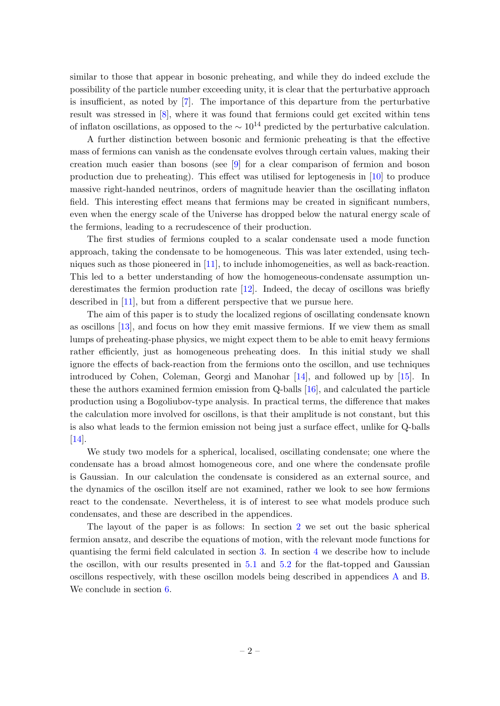similar to those that appear in bosonic preheating, and while they do indeed exclude the possibility of the particle number exceeding unity, it is clear that the perturbative approach is insufficient, as noted by [\[7\]](#page-12-2). The importance of this departure from the perturbative result was stressed in [\[8\]](#page-12-3), where it was found that fermions could get excited within tens of inflaton oscillations, as opposed to the  $\sim 10^{14}$  predicted by the perturbative calculation.

A further distinction between bosonic and fermionic preheating is that the effective mass of fermions can vanish as the condensate evolves through certain values, making their creation much easier than bosons (see [\[9\]](#page-12-4) for a clear comparison of fermion and boson production due to preheating). This effect was utilised for leptogenesis in [\[10\]](#page-12-5) to produce massive right-handed neutrinos, orders of magnitude heavier than the oscillating inflaton field. This interesting effect means that fermions may be created in significant numbers, even when the energy scale of the Universe has dropped below the natural energy scale of the fermions, leading to a recrudescence of their production.

The first studies of fermions coupled to a scalar condensate used a mode function approach, taking the condensate to be homogeneous. This was later extended, using techniques such as those pioneered in [\[11\]](#page-12-6), to include inhomogeneities, as well as back-reaction. This led to a better understanding of how the homogeneous-condensate assumption underestimates the fermion production rate [\[12\]](#page-12-7). Indeed, the decay of oscillons was briefly described in [\[11\]](#page-12-6), but from a different perspective that we pursue here.

The aim of this paper is to study the localized regions of oscillating condensate known as oscillons [\[13\]](#page-12-8), and focus on how they emit massive fermions. If we view them as small lumps of preheating-phase physics, we might expect them to be able to emit heavy fermions rather efficiently, just as homogeneous preheating does. In this initial study we shall ignore the effects of back-reaction from the fermions onto the oscillon, and use techniques introduced by Cohen, Coleman, Georgi and Manohar [\[14\]](#page-12-9), and followed up by [\[15\]](#page-12-10). In these the authors examined fermion emission from Q-balls [\[16\]](#page-12-11), and calculated the particle production using a Bogoliubov-type analysis. In practical terms, the difference that makes the calculation more involved for oscillons, is that their amplitude is not constant, but this is also what leads to the fermion emission not being just a surface effect, unlike for Q-balls [\[14\]](#page-12-9).

We study two models for a spherical, localised, oscillating condensate; one where the condensate has a broad almost homogeneous core, and one where the condensate profile is Gaussian. In our calculation the condensate is considered as an external source, and the dynamics of the oscillon itself are not examined, rather we look to see how fermions react to the condensate. Nevertheless, it is of interest to see what models produce such condensates, and these are described in the appendices.

The layout of the paper is as follows: In section [2](#page-3-0) we set out the basic spherical fermion ansatz, and describe the equations of motion, with the relevant mode functions for quantising the fermi field calculated in section [3.](#page-3-1) In section [4](#page-4-0) we describe how to include the oscillon, with our results presented in [5.1](#page-6-1) and [5.2](#page-9-0) for the flat-topped and Gaussian oscillons respectively, with these oscillon models being described in appendices [A](#page-10-0) and [B.](#page-11-0) We conclude in section [6.](#page-9-1)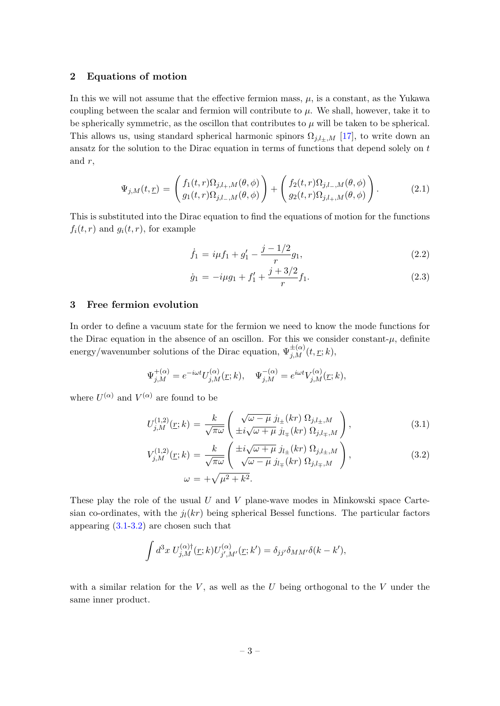## <span id="page-3-0"></span>2 Equations of motion

In this we will not assume that the effective fermion mass,  $\mu$ , is a constant, as the Yukawa coupling between the scalar and fermion will contribute to  $\mu$ . We shall, however, take it to be spherically symmetric, as the oscillon that contributes to  $\mu$  will be taken to be spherical. This allows us, using standard spherical harmonic spinors  $\Omega_{j,l\pm,M}$  [\[17\]](#page-12-12), to write down an ansatz for the solution to the Dirac equation in terms of functions that depend solely on  $t$ and  $r$ ,

<span id="page-3-4"></span>
$$
\Psi_{j,M}(t,\underline{r}) = \begin{pmatrix} f_1(t,r)\Omega_{j,l_+,M}(\theta,\phi) \\ g_1(t,r)\Omega_{j,l_-,M}(\theta,\phi) \end{pmatrix} + \begin{pmatrix} f_2(t,r)\Omega_{j,l_-,M}(\theta,\phi) \\ g_2(t,r)\Omega_{j,l_+,M}(\theta,\phi) \end{pmatrix}.
$$
(2.1)

This is substituted into the Dirac equation to find the equations of motion for the functions  $f_i(t,r)$  and  $g_i(t,r)$ , for example

<span id="page-3-3"></span>
$$
\dot{f}_1 = i\mu f_1 + g_1' - \frac{j - 1/2}{r} g_1,\tag{2.2}
$$

$$
\dot{g}_1 = -i\mu g_1 + f_1' + \frac{j + 3/2}{r} f_1. \tag{2.3}
$$

# <span id="page-3-1"></span>3 Free fermion evolution

In order to define a vacuum state for the fermion we need to know the mode functions for the Dirac equation in the absence of an oscillon. For this we consider constant- $\mu$ , definite energy/wavenumber solutions of the Dirac equation,  $\Psi_{j,M}^{\pm(\alpha)}(t,\underline{r};k)$ ,

<span id="page-3-2"></span>
$$
\Psi_{j,M}^{+(\alpha)} = e^{-i\omega t} U_{j,M}^{(\alpha)}(\underline{r};k), \quad \Psi_{j,M}^{-(\alpha)} = e^{i\omega t} V_{j,M}^{(\alpha)}(\underline{r};k),
$$

where  $U^{(\alpha)}$  and  $V^{(\alpha)}$  are found to be

$$
U_{j,M}^{(1,2)}(\underline{r};k) = \frac{k}{\sqrt{\pi\omega}} \left( \frac{\sqrt{\omega-\mu}}{\pm i\sqrt{\omega+\mu}} \frac{j_{l\pm}(kr)}{j_{l\mp}(kr)} \frac{\Omega_{j,l\pm,M}}{\Omega_{j,l\mp,M}} \right),
$$
(3.1)

$$
V_{j,M}^{(1,2)}(\underline{r};k) = \frac{k}{\sqrt{\pi\omega}} \left( \frac{\pm i\sqrt{\omega+\mu}}{\sqrt{\omega-\mu}} j_{l_{\pm}}(kr) \Omega_{j,l_{\pm},M} \right),
$$
  
\n
$$
\omega = +\sqrt{\mu^2 + k^2}.
$$
\n(3.2)

These play the role of the usual  $U$  and  $V$  plane-wave modes in Minkowski space Cartesian co-ordinates, with the  $j_l(kr)$  being spherical Bessel functions. The particular factors appearing [\(3.1-3.2\)](#page-3-2) are chosen such that

$$
\int d^3x \; U_{j,M}^{(\alpha)\dagger}(\underline{r};k) U_{j',M'}^{(\alpha)}(\underline{r};k') = \delta_{jj'} \delta_{MM'} \delta(k-k'),
$$

with a similar relation for the  $V$ , as well as the U being orthogonal to the V under the same inner product.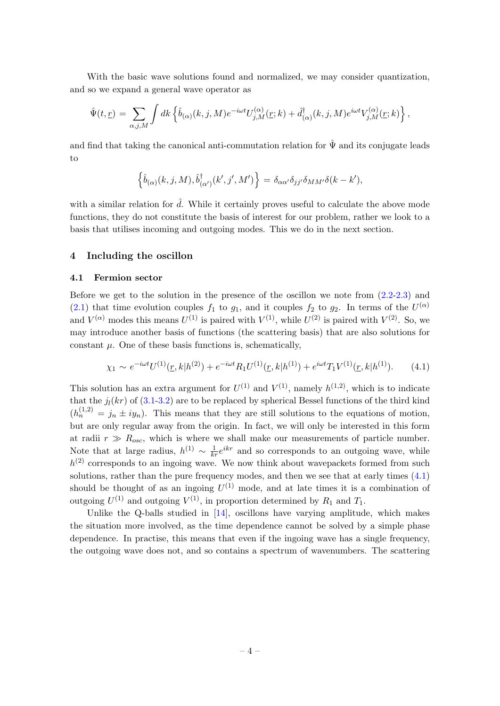With the basic wave solutions found and normalized, we may consider quantization, and so we expand a general wave operator as

$$
\hat{\Psi}(t,\underline{r}) = \sum_{\alpha,j,M} \int dk \left\{ \hat{b}_{(\alpha)}(k,j,M) e^{-i\omega t} U_{j,M}^{(\alpha)}(\underline{r};k) + \hat{d}_{(\alpha)}^{\dagger}(k,j,M) e^{i\omega t} V_{j,M}^{(\alpha)}(\underline{r};k) \right\},\,
$$

and find that taking the canonical anti-commutation relation for  $\hat{\Psi}$  and its conjugate leads to

$$
\left\{\hat{b}_{(\alpha)}(k,j,M),\hat{b}_{(\alpha')}^{\dagger}(k',j',M')\right\}=\delta_{\alpha\alpha'}\delta_{jj'}\delta_{MM'}\delta(k-k'),
$$

with a similar relation for  $\hat{d}$ . While it certainly proves useful to calculate the above mode functions, they do not constitute the basis of interest for our problem, rather we look to a basis that utilises incoming and outgoing modes. This we do in the next section.

## <span id="page-4-0"></span>4 Including the oscillon

#### <span id="page-4-1"></span>4.1 Fermion sector

Before we get to the solution in the presence of the oscillon we note from [\(2.2-2.3\)](#page-3-3) and [\(2.1\)](#page-3-4) that time evolution couples  $f_1$  to  $g_1$ , and it couples  $f_2$  to  $g_2$ . In terms of the  $U^{(\alpha)}$ and  $V^{(\alpha)}$  modes this means  $U^{(1)}$  is paired with  $V^{(1)}$ , while  $U^{(2)}$  is paired with  $V^{(2)}$ . So, we may introduce another basis of functions (the scattering basis) that are also solutions for constant  $\mu$ . One of these basis functions is, schematically,

<span id="page-4-2"></span>
$$
\chi_1 \sim e^{-i\omega t} U^{(1)}(\underline{r}, k | h^{(2)}) + e^{-i\omega t} R_1 U^{(1)}(\underline{r}, k | h^{(1)}) + e^{i\omega t} T_1 V^{(1)}(\underline{r}, k | h^{(1)}).
$$
 (4.1)

This solution has an extra argument for  $U^{(1)}$  and  $V^{(1)}$ , namely  $h^{(1,2)}$ , which is to indicate that the  $j_l(kr)$  of [\(3.1-3.2\)](#page-3-2) are to be replaced by spherical Bessel functions of the third kind  $(h_n^{(1,2)} = j_n \pm iy_n)$ . This means that they are still solutions to the equations of motion, but are only regular away from the origin. In fact, we will only be interested in this form at radii  $r \gg R_{osc}$ , which is where we shall make our measurements of particle number. Note that at large radius,  $h^{(1)} \sim \frac{1}{kr} e^{ikr}$  and so corresponds to an outgoing wave, while  $h^{(2)}$  corresponds to an ingoing wave. We now think about wavepackets formed from such solutions, rather than the pure frequency modes, and then we see that at early times  $(4.1)$ should be thought of as an ingoing  $U^{(1)}$  mode, and at late times it is a combination of outgoing  $U^{(1)}$  and outgoing  $V^{(1)}$ , in proportion determined by  $R_1$  and  $T_1$ .

Unlike the Q-balls studied in  $[14]$ , oscillons have varying amplitude, which makes the situation more involved, as the time dependence cannot be solved by a simple phase dependence. In practise, this means that even if the ingoing wave has a single frequency, the outgoing wave does not, and so contains a spectrum of wavenumbers. The scattering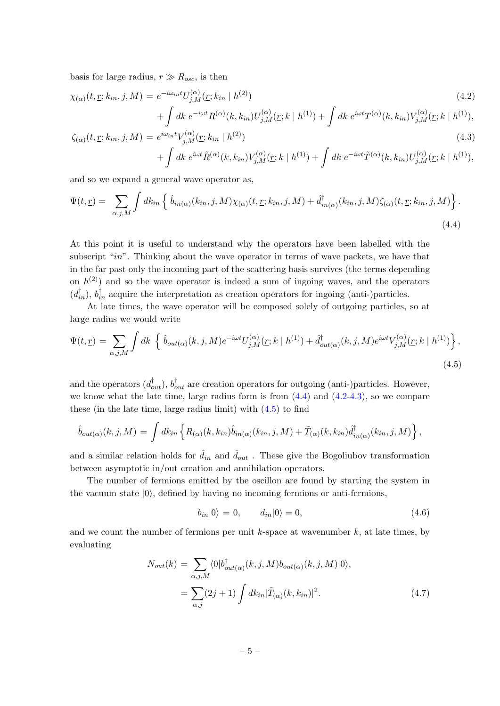basis for large radius,  $r \gg R_{osc}$ , is then

<span id="page-5-1"></span>
$$
\chi_{(\alpha)}(t, \underline{r}; k_{in}, j, M) = e^{-i\omega_{in}t} U_{j,M}^{(\alpha)}(\underline{r}; k_{in} \mid h^{(2)}) + \int dk \ e^{-i\omega t} R^{(\alpha)}(k, k_{in}) U_{j,M}^{(\alpha)}(\underline{r}; k \mid h^{(1)}) + \int dk \ e^{i\omega t} T^{(\alpha)}(k, k_{in}) V_{j,M}^{(\alpha)}(\underline{r}; k \mid h^{(1)}),
$$
\n(4.2)

$$
\zeta_{(\alpha)}(t, \underline{r}; k_{in}, j, M) = e^{i\omega_{in}t} V_{j,M}^{(\alpha)}(\underline{r}; k_{in} | h^{(2)}) \n+ \int dk \, e^{i\omega t} \tilde{R}^{(\alpha)}(k, k_{in}) V_{j,M}^{(\alpha)}(\underline{r}; k | h^{(1)}) + \int dk \, e^{-i\omega t} \tilde{T}^{(\alpha)}(k, k_{in}) U_{j,M}^{(\alpha)}(\underline{r}; k | h^{(1)}),
$$
\n(4.3)

and so we expand a general wave operator as,

<span id="page-5-0"></span>
$$
\Psi(t,\underline{r}) = \sum_{\alpha,j,M} \int dk_{in} \left\{ \hat{b}_{in(\alpha)}(k_{in},j,M)\chi_{(\alpha)}(t,\underline{r};k_{in},j,M) + \hat{d}^{\dagger}_{in(\alpha)}(k_{in},j,M)\zeta_{(\alpha)}(t,\underline{r};k_{in},j,M) \right\}.
$$
\n(4.4)

At this point it is useful to understand why the operators have been labelled with the subscript "in". Thinking about the wave operator in terms of wave packets, we have that in the far past only the incoming part of the scattering basis survives (the terms depending on  $h^{(2)}$  and so the wave operator is indeed a sum of ingoing waves, and the operators  $(d_{in}^{\dagger}), b_{in}^{\dagger}$  acquire the interpretation as creation operators for ingoing (anti-)particles.

At late times, the wave operator will be composed solely of outgoing particles, so at large radius we would write

<span id="page-5-2"></span>
$$
\Psi(t,\underline{r}) = \sum_{\alpha,j,M} \int dk \left\{ \hat{b}_{out(\alpha)}(k,j,M)e^{-i\omega t}U^{(\alpha)}_{j,M}(\underline{r};k\mid h^{(1)}) + \hat{d}^{\dagger}_{out(\alpha)}(k,j,M)e^{i\omega t}V^{(\alpha)}_{j,M}(\underline{r};k\mid h^{(1)}) \right\},\tag{4.5}
$$

and the operators  $(d_{out}^{\dagger}), b_{out}^{\dagger}$  are creation operators for outgoing (anti-)particles. However, we know what the late time, large radius form is from  $(4.4)$  and  $(4.2-4.3)$ , so we compare these (in the late time, large radius limit) with  $(4.5)$  to find

$$
\hat{b}_{out(\alpha)}(k,j,M) = \int dk_{in} \left\{ R_{(\alpha)}(k,k_{in}) \hat{b}_{in(\alpha)}(k_{in},j,M) + \tilde{T}_{(\alpha)}(k,k_{in}) \hat{d}^{\dagger}_{in(\alpha)}(k_{in},j,M) \right\},\,
$$

and a similar relation holds for  $\hat{d}_{in}$  and  $\hat{d}_{out}$ . These give the Bogoliubov transformation between asymptotic in/out creation and annihilation operators.

The number of fermions emitted by the oscillon are found by starting the system in the vacuum state  $|0\rangle$ , defined by having no incoming fermions or anti-fermions,

$$
b_{in}|0\rangle = 0, \t d_{in}|0\rangle = 0, \t(4.6)
$$

and we count the number of fermions per unit  $k$ -space at wavenumber  $k$ , at late times, by evaluating

<span id="page-5-3"></span>
$$
N_{out}(k) = \sum_{\alpha,j,M} \langle 0 | b_{out(\alpha)}^{\dagger}(k,j,M) b_{out(\alpha)}(k,j,M) | 0 \rangle,
$$
  
= 
$$
\sum_{\alpha,j} (2j+1) \int dk_{in} |\tilde{T}_{(\alpha)}(k,k_{in})|^2.
$$
 (4.7)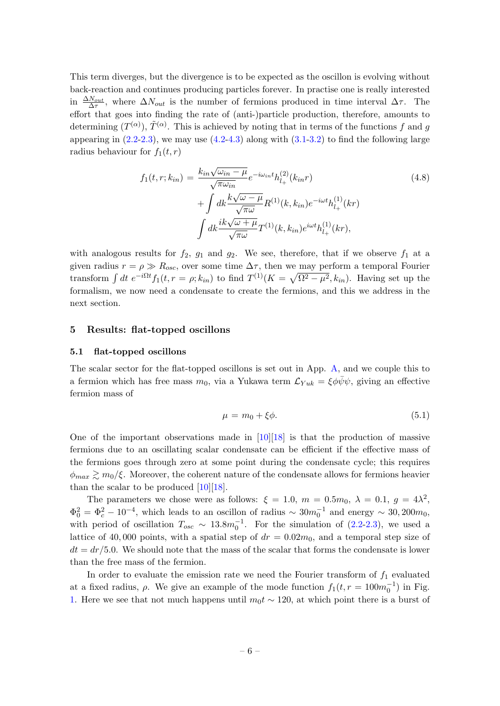This term diverges, but the divergence is to be expected as the oscillon is evolving without back-reaction and continues producing particles forever. In practise one is really interested in  $\frac{\Delta N_{out}}{\Delta \tau}$ , where  $\Delta N_{out}$  is the number of fermions produced in time interval  $\Delta \tau$ . The effort that goes into finding the rate of (anti-)particle production, therefore, amounts to determining  $(T^{(\alpha)}), \tilde{T}^{(\alpha)}$ . This is achieved by noting that in terms of the functions f and g appearing in  $(2.2-2.3)$ , we may use  $(4.2-4.3)$  along with  $(3.1-3.2)$  to find the following large radius behaviour for  $f_1(t, r)$ 

$$
f_1(t, r; k_{in}) = \frac{k_{in}\sqrt{\omega_{in} - \mu}}{\sqrt{\pi \omega_{in}}} e^{-i\omega_{in}t} h_{l_{+}}^{(2)}(k_{in}r)
$$
  
+ 
$$
\int dk \frac{k\sqrt{\omega - \mu}}{\sqrt{\pi \omega}} R^{(1)}(k, k_{in}) e^{-i\omega t} h_{l_{+}}^{(1)}(kr)
$$
  

$$
\int dk \frac{ik\sqrt{\omega + \mu}}{\sqrt{\pi \omega}} T^{(1)}(k, k_{in}) e^{i\omega t} h_{l_{+}}^{(1)}(kr),
$$
 (4.8)

with analogous results for  $f_2$ ,  $g_1$  and  $g_2$ . We see, therefore, that if we observe  $f_1$  at a given radius  $r = \rho \gg R_{osc}$ , over some time  $\Delta \tau$ , then we may perform a temporal Fourier transform  $\int dt e^{-i\Omega t} f_1(t, r = \rho; k_{in})$  to find  $T^{(1)}(K = \sqrt{\Omega^2 - \mu^2}, k_{in})$ . Having set up the formalism, we now need a condensate to create the fermions, and this we address in the next section.

#### <span id="page-6-0"></span>5 Results: flat-topped oscillons

#### <span id="page-6-1"></span>5.1 flat-topped oscillons

The scalar sector for the flat-topped oscillons is set out in App. [A,](#page-10-0) and we couple this to a fermion which has free mass  $m_0$ , via a Yukawa term  $\mathcal{L}_{Yuk} = \xi \phi \bar{\psi} \psi$ , giving an effective fermion mass of

$$
\mu = m_0 + \xi \phi. \tag{5.1}
$$

One of the important observations made in [\[10\]](#page-12-5)[\[18\]](#page-12-13) is that the production of massive fermions due to an oscillating scalar condensate can be efficient if the effective mass of the fermions goes through zero at some point during the condensate cycle; this requires  $\phi_{max} \gtrsim m_0/\xi$ . Moreover, the coherent nature of the condensate allows for fermions heavier than the scalar to be produced  $[10][18]$  $[10][18]$ .

The parameters we chose were as follows:  $\xi = 1.0, m = 0.5m_0, \lambda = 0.1, g = 4\lambda^2$ ,  $\Phi_0^2 = \Phi_c^2 - 10^{-4}$ , which leads to an oscillon of radius ~  $30m_0^{-1}$  and energy ~ 30, 200 $m_0$ , with period of oscillation  $T_{osc} \sim 13.8 m_0^{-1}$ . For the simulation of [\(2.2-2.3\)](#page-3-3), we used a lattice of 40,000 points, with a spatial step of  $dr = 0.02m_0$ , and a temporal step size of  $dt = dr/5.0$ . We should note that the mass of the scalar that forms the condensate is lower than the free mass of the fermion.

In order to evaluate the emission rate we need the Fourier transform of  $f_1$  evaluated at a fixed radius,  $\rho$ . We give an example of the mode function  $f_1(t, r = 100m_0^{-1})$  in Fig. [1.](#page-7-0) Here we see that not much happens until  $m_0 t \sim 120$ , at which point there is a burst of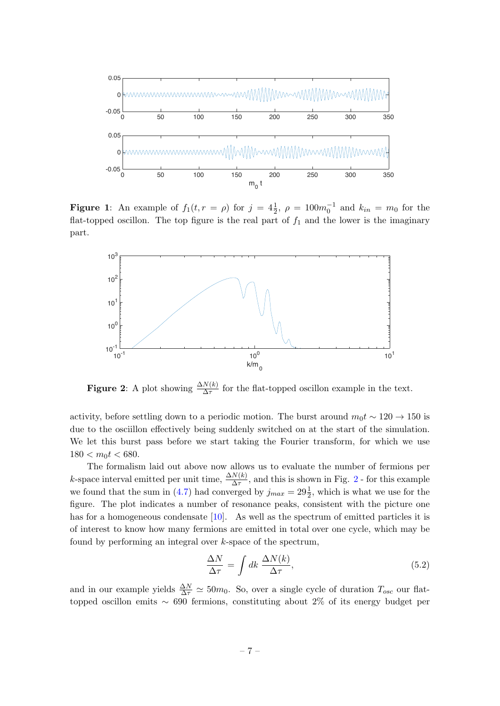<span id="page-7-0"></span>

**Figure 1**: An example of  $f_1(t, r = \rho)$  for  $j = 4\frac{1}{2}$ ,  $\rho = 100m_0^{-1}$  and  $k_{in} = m_0$  for the flat-topped oscillon. The top figure is the real part of  $f_1$  and the lower is the imaginary part.

<span id="page-7-1"></span>

**Figure 2:** A plot showing  $\frac{\Delta N(k)}{\Delta \tau}$  for the flat-topped oscillon example in the text.

activity, before settling down to a periodic motion. The burst around  $m_0 t \sim 120 \rightarrow 150$  is due to the osciillon effectively being suddenly switched on at the start of the simulation. We let this burst pass before we start taking the Fourier transform, for which we use  $180 < m<sub>0</sub>t < 680$ .

The formalism laid out above now allows us to evaluate the number of fermions per k-space interval emitted per unit time,  $\frac{\Delta N(k)}{\Delta \tau}$ , and this is shown in Fig. [2](#page-7-1) - for this example we found that the sum in [\(4.7\)](#page-5-3) had converged by  $j_{max} = 29\frac{1}{2}$ , which is what we use for the figure. The plot indicates a number of resonance peaks, consistent with the picture one has for a homogeneous condensate [\[10\]](#page-12-5). As well as the spectrum of emitted particles it is of interest to know how many fermions are emitted in total over one cycle, which may be found by performing an integral over k-space of the spectrum,

$$
\frac{\Delta N}{\Delta \tau} = \int dk \, \frac{\Delta N(k)}{\Delta \tau},\tag{5.2}
$$

and in our example yields  $\frac{\Delta N}{\Delta \tau} \simeq 50m_0$ . So, over a single cycle of duration  $T_{osc}$  our flattopped oscillon emits ∼ 690 fermions, constituting about 2% of its energy budget per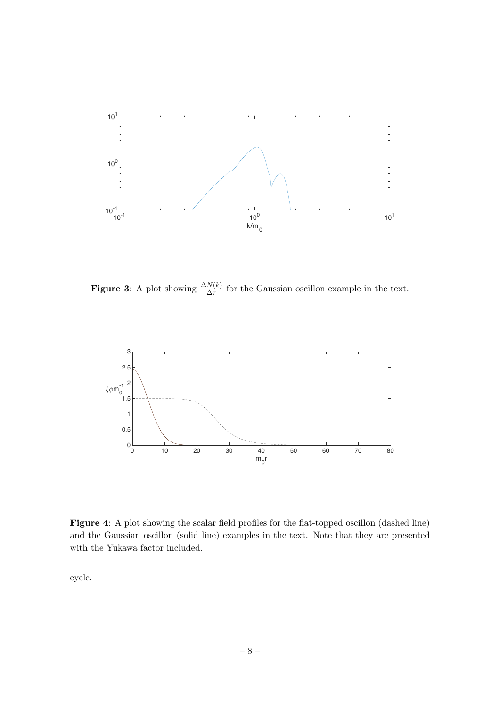<span id="page-8-0"></span>

<span id="page-8-1"></span>**Figure 3:** A plot showing  $\frac{\Delta N(k)}{\Delta \tau}$  for the Gaussian oscillon example in the text.



Figure 4: A plot showing the scalar field profiles for the flat-topped oscillon (dashed line) and the Gaussian oscillon (solid line) examples in the text. Note that they are presented with the Yukawa factor included.

cycle.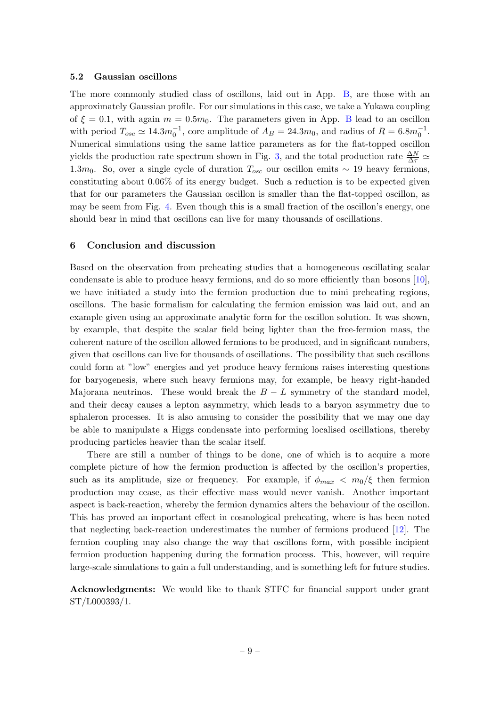## <span id="page-9-0"></span>5.2 Gaussian oscillons

The more commonly studied class of oscillons, laid out in App. [B,](#page-11-0) are those with an approximately Gaussian profile. For our simulations in this case, we take a Yukawa coupling of  $\xi = 0.1$ , with again  $m = 0.5m_0$ . The parameters given in App. [B](#page-11-0) lead to an oscillon with period  $T_{osc} \simeq 14.3 m_0^{-1}$ , core amplitude of  $A_B = 24.3 m_0$ , and radius of  $R = 6.8 m_0^{-1}$ . Numerical simulations using the same lattice parameters as for the flat-topped oscillon yields the production rate spectrum shown in Fig. [3,](#page-8-0) and the total production rate  $\frac{\Delta N}{\Delta \tau} \simeq$ 1.3m<sub>0</sub>. So, over a single cycle of duration  $T_{osc}$  our oscillon emits ~ 19 heavy fermions, constituting about 0.06% of its energy budget. Such a reduction is to be expected given that for our parameters the Gaussian oscillon is smaller than the flat-topped oscillon, as may be seem from Fig. [4.](#page-8-1) Even though this is a small fraction of the oscillon's energy, one should bear in mind that oscillons can live for many thousands of oscillations.

## <span id="page-9-1"></span>6 Conclusion and discussion

Based on the observation from preheating studies that a homogeneous oscillating scalar condensate is able to produce heavy fermions, and do so more efficiently than bosons [\[10\]](#page-12-5), we have initiated a study into the fermion production due to mini preheating regions, oscillons. The basic formalism for calculating the fermion emission was laid out, and an example given using an approximate analytic form for the oscillon solution. It was shown, by example, that despite the scalar field being lighter than the free-fermion mass, the coherent nature of the oscillon allowed fermions to be produced, and in significant numbers, given that oscillons can live for thousands of oscillations. The possibility that such oscillons could form at "low" energies and yet produce heavy fermions raises interesting questions for baryogenesis, where such heavy fermions may, for example, be heavy right-handed Majorana neutrinos. These would break the  $B - L$  symmetry of the standard model, and their decay causes a lepton asymmetry, which leads to a baryon asymmetry due to sphaleron processes. It is also amusing to consider the possibility that we may one day be able to manipulate a Higgs condensate into performing localised oscillations, thereby producing particles heavier than the scalar itself.

There are still a number of things to be done, one of which is to acquire a more complete picture of how the fermion production is affected by the oscillon's properties, such as its amplitude, size or frequency. For example, if  $\phi_{max} < m_0/\xi$  then fermion production may cease, as their effective mass would never vanish. Another important aspect is back-reaction, whereby the fermion dynamics alters the behaviour of the oscillon. This has proved an important effect in cosmological preheating, where is has been noted that neglecting back-reaction underestimates the number of fermions produced [\[12\]](#page-12-7). The fermion coupling may also change the way that oscillons form, with possible incipient fermion production happening during the formation process. This, however, will require large-scale simulations to gain a full understanding, and is something left for future studies.

Acknowledgments: We would like to thank STFC for financial support under grant ST/L000393/1.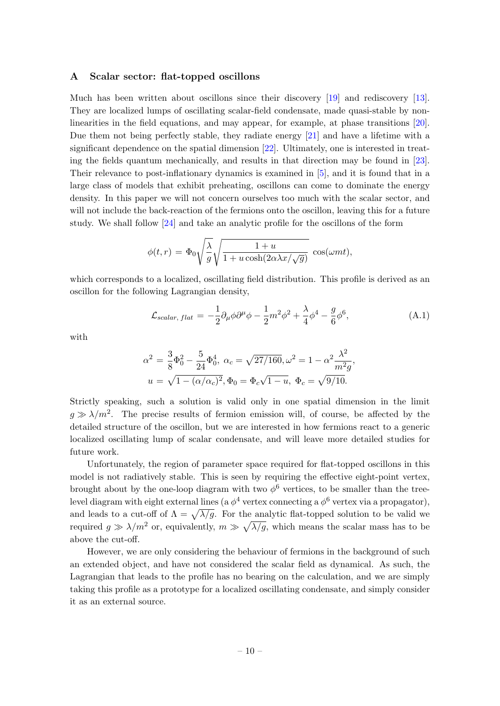#### <span id="page-10-0"></span>A Scalar sector: flat-topped oscillons

Much has been written about oscillons since their discovery [\[19\]](#page-12-14) and rediscovery [\[13\]](#page-12-8). They are localized lumps of oscillating scalar-field condensate, made quasi-stable by nonlinearities in the field equations, and may appear, for example, at phase transitions [\[20\]](#page-12-15). Due them not being perfectly stable, they radiate energy [\[21\]](#page-12-16) and have a lifetime with a significant dependence on the spatial dimension [\[22\]](#page-12-17). Ultimately, one is interested in treating the fields quantum mechanically, and results in that direction may be found in [\[23\]](#page-12-18). Their relevance to post-inflationary dynamics is examined in [\[5\]](#page-12-0), and it is found that in a large class of models that exhibit preheating, oscillons can come to dominate the energy density. In this paper we will not concern ourselves too much with the scalar sector, and will not include the back-reaction of the fermions onto the oscillon, leaving this for a future study. We shall follow [\[24\]](#page-12-19) and take an analytic profile for the oscillons of the form

$$
\phi(t,r) = \Phi_0 \sqrt{\frac{\lambda}{g}} \sqrt{\frac{1+u}{1+u \cosh(2\alpha \lambda x/\sqrt{g})}} \cos(\omega m t),
$$

which corresponds to a localized, oscillating field distribution. This profile is derived as an oscillon for the following Lagrangian density,

$$
\mathcal{L}_{scalar, flat} = -\frac{1}{2} \partial_{\mu} \phi \partial^{\mu} \phi - \frac{1}{2} m^2 \phi^2 + \frac{\lambda}{4} \phi^4 - \frac{g}{6} \phi^6, \tag{A.1}
$$

with

$$
\alpha^2 = \frac{3}{8}\Phi_0^2 - \frac{5}{24}\Phi_0^4, \ \alpha_c = \sqrt{27/160}, \omega^2 = 1 - \alpha^2 \frac{\lambda^2}{m^2 g},
$$
  

$$
u = \sqrt{1 - (\alpha/\alpha_c)^2}, \Phi_0 = \Phi_c \sqrt{1 - u}, \ \Phi_c = \sqrt{9/10}.
$$

Strictly speaking, such a solution is valid only in one spatial dimension in the limit  $g \gg \lambda/m^2$ . The precise results of fermion emission will, of course, be affected by the detailed structure of the oscillon, but we are interested in how fermions react to a generic localized oscillating lump of scalar condensate, and will leave more detailed studies for future work.

Unfortunately, the region of parameter space required for flat-topped oscillons in this model is not radiatively stable. This is seen by requiring the effective eight-point vertex, brought about by the one-loop diagram with two  $\phi^6$  vertices, to be smaller than the treelevel diagram with eight external lines (a  $\phi^4$  vertex connecting a  $\phi^6$  vertex via a propagator), and leads to a cut-off of  $\Lambda = \sqrt{\lambda/g}$ . For the analytic flat-topped solution to be valid we required  $g \gg \lambda/m^2$  or, equivalently,  $m \gg \sqrt{\lambda/g}$ , which means the scalar mass has to be above the cut-off.

However, we are only considering the behaviour of fermions in the background of such an extended object, and have not considered the scalar field as dynamical. As such, the Lagrangian that leads to the profile has no bearing on the calculation, and we are simply taking this profile as a prototype for a localized oscillating condensate, and simply consider it as an external source.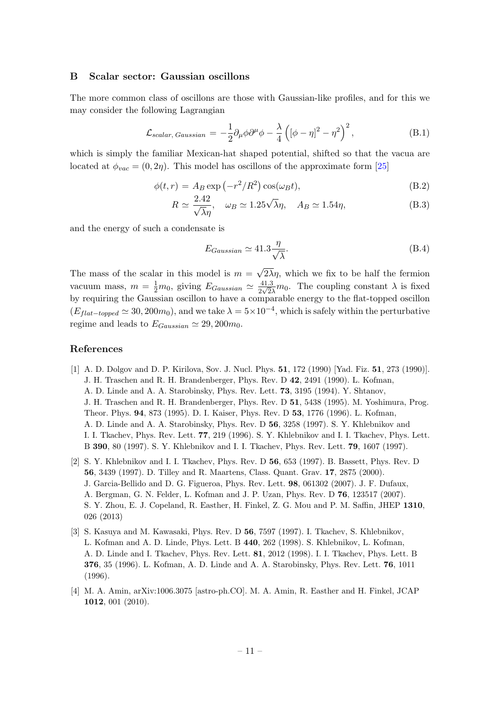#### <span id="page-11-0"></span>B Scalar sector: Gaussian oscillons

The more common class of oscillons are those with Gaussian-like profiles, and for this we may consider the following Lagrangian

$$
\mathcal{L}_{scalar, Gaussian} = -\frac{1}{2} \partial_{\mu} \phi \partial^{\mu} \phi - \frac{\lambda}{4} \left( [\phi - \eta]^2 - \eta^2 \right)^2, \tag{B.1}
$$

which is simply the familiar Mexican-hat shaped potential, shifted so that the vacua are located at  $\phi_{vac} = (0, 2\eta)$ . This model has oscillons of the approximate form [\[25\]](#page-12-20)

$$
\phi(t,r) = A_B \exp(-r^2/R^2) \cos(\omega_B t),\tag{B.2}
$$

$$
R \simeq \frac{2.42}{\sqrt{\lambda}\eta}, \quad \omega_B \simeq 1.25\sqrt{\lambda}\eta, \quad A_B \simeq 1.54\eta,
$$
 (B.3)

and the energy of such a condensate is

$$
E_{Gaussian} \simeq 41.3 \frac{\eta}{\sqrt{\lambda}}.\tag{B.4}
$$

The mass of the scalar in this model is  $m =$ √  $2\lambda\eta$ , which we fix to be half the fermion vacuum mass,  $m = \frac{1}{2}m_0$ , giving  $E_{Gaussian} \simeq \frac{41.3}{2\sqrt{2}}$  $\frac{41.3}{2\sqrt{2}\lambda}m_0$ . The coupling constant  $\lambda$  is fixed by requiring the Gaussian oscillon to have a comparable energy to the flat-topped oscillon  $(E_{flat-topped} \simeq 30, 200m_0)$ , and we take  $\lambda = 5 \times 10^{-4}$ , which is safely within the perturbative regime and leads to  $E_{Gaussian} \simeq 29,200m_0$ .

## References

- <span id="page-11-1"></span>[1] A. D. Dolgov and D. P. Kirilova, Sov. J. Nucl. Phys. 51, 172 (1990) [Yad. Fiz. 51, 273 (1990)]. J. H. Traschen and R. H. Brandenberger, Phys. Rev. D 42, 2491 (1990). L. Kofman, A. D. Linde and A. A. Starobinsky, Phys. Rev. Lett. 73, 3195 (1994). Y. Shtanov, J. H. Traschen and R. H. Brandenberger, Phys. Rev. D 51, 5438 (1995). M. Yoshimura, Prog. Theor. Phys. 94, 873 (1995). D. I. Kaiser, Phys. Rev. D 53, 1776 (1996). L. Kofman, A. D. Linde and A. A. Starobinsky, Phys. Rev. D 56, 3258 (1997). S. Y. Khlebnikov and I. I. Tkachev, Phys. Rev. Lett. 77, 219 (1996). S. Y. Khlebnikov and I. I. Tkachev, Phys. Lett. B 390, 80 (1997). S. Y. Khlebnikov and I. I. Tkachev, Phys. Rev. Lett. 79, 1607 (1997).
- <span id="page-11-2"></span>[2] S. Y. Khlebnikov and I. I. Tkachev, Phys. Rev. D 56, 653 (1997). B. Bassett, Phys. Rev. D 56, 3439 (1997). D. Tilley and R. Maartens, Class. Quant. Grav. 17, 2875 (2000). J. Garcia-Bellido and D. G. Figueroa, Phys. Rev. Lett. 98, 061302 (2007). J. F. Dufaux, A. Bergman, G. N. Felder, L. Kofman and J. P. Uzan, Phys. Rev. D 76, 123517 (2007). S. Y. Zhou, E. J. Copeland, R. Easther, H. Finkel, Z. G. Mou and P. M. Saffin, JHEP 1310, 026 (2013)
- <span id="page-11-3"></span>[3] S. Kasuya and M. Kawasaki, Phys. Rev. D 56, 7597 (1997). I. Tkachev, S. Khlebnikov, L. Kofman and A. D. Linde, Phys. Lett. B 440, 262 (1998). S. Khlebnikov, L. Kofman, A. D. Linde and I. Tkachev, Phys. Rev. Lett. 81, 2012 (1998). I. I. Tkachev, Phys. Lett. B 376, 35 (1996). L. Kofman, A. D. Linde and A. A. Starobinsky, Phys. Rev. Lett. 76, 1011 (1996).
- <span id="page-11-4"></span>[4] M. A. Amin, arXiv:1006.3075 [astro-ph.CO]. M. A. Amin, R. Easther and H. Finkel, JCAP 1012, 001 (2010).